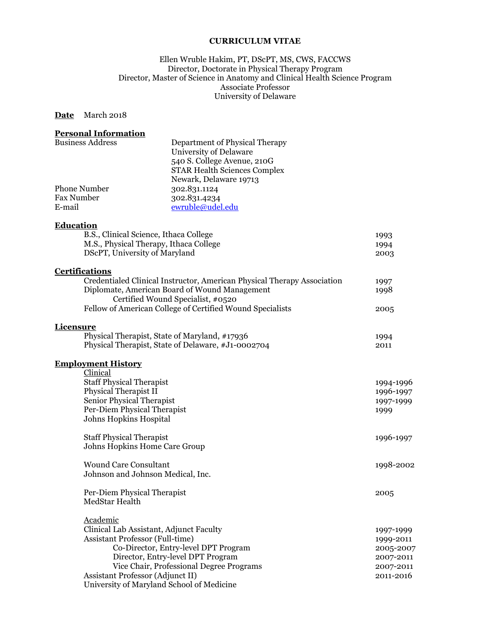### **CURRICULUM VITAE**

#### Ellen Wruble Hakim, PT, DScPT, MS, CWS, FACCWS Director, Doctorate in Physical Therapy Program Director, Master of Science in Anatomy and Clinical Health Science Program Associate Professor University of Delaware

## **Date** March 2018

## **Personal Information**

| <b>Business Address</b> | Department of Physical Therapy      |
|-------------------------|-------------------------------------|
|                         | University of Delaware              |
|                         | 540 S. College Avenue, 210G         |
|                         | <b>STAR Health Sciences Complex</b> |
|                         | Newark, Delaware 19713              |
| <b>Phone Number</b>     | 302.831.1124                        |
| <b>Fax Number</b>       | 302.831.4234                        |
| E-mail                  | ewruble@udel.edu                    |
|                         |                                     |
| Education               |                                     |

| B.S., Clinical Science, Ithaca College                                  | 1993      |
|-------------------------------------------------------------------------|-----------|
| M.S., Physical Therapy, Ithaca College                                  | 1994      |
| DScPT, University of Maryland                                           | 2003      |
| <b>Certifications</b>                                                   |           |
| Credentialed Clinical Instructor, American Physical Therapy Association | 1997      |
| Diplomate, American Board of Wound Management                           | 1998      |
| Certified Wound Specialist, #0520                                       |           |
| Fellow of American College of Certified Wound Specialists               | 2005      |
| <b>Licensure</b>                                                        |           |
| Physical Therapist, State of Maryland, #17936                           | 1994      |
| Physical Therapist, State of Delaware, #J1-0002704                      | 2011      |
| <b>Employment History</b>                                               |           |
| Clinical                                                                |           |
| <b>Staff Physical Therapist</b>                                         | 1994-1996 |
| Physical Therapist II                                                   | 1996-1997 |
| Senior Physical Therapist                                               | 1997-1999 |
| Per-Diem Physical Therapist                                             | 1999      |
| Johns Hopkins Hospital                                                  |           |
| <b>Staff Physical Therapist</b>                                         | 1996-1997 |
| Johns Hopkins Home Care Group                                           |           |
|                                                                         |           |

Wound Care Consultant 1998-2002 Johnson and Johnson Medical, Inc. Per-Diem Physical Therapist 2005 MedStar Health

| Academic                                  |           |
|-------------------------------------------|-----------|
| Clinical Lab Assistant, Adjunct Faculty   | 1997-1999 |
| <b>Assistant Professor (Full-time)</b>    | 1999-2011 |
| Co-Director, Entry-level DPT Program      | 2005-2007 |
| Director, Entry-level DPT Program         | 2007-2011 |
| Vice Chair, Professional Degree Programs  | 2007-2011 |
| Assistant Professor (Adjunct II)          | 2011-2016 |
| University of Maryland School of Medicine |           |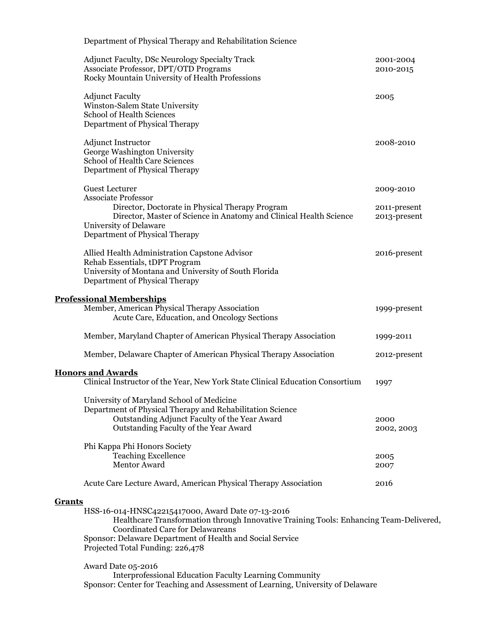| Department of Physical Therapy and Rehabilitation Science                                                                                                                                        |                                                                                        |                              |
|--------------------------------------------------------------------------------------------------------------------------------------------------------------------------------------------------|----------------------------------------------------------------------------------------|------------------------------|
| Adjunct Faculty, DSc Neurology Specialty Track<br>Associate Professor, DPT/OTD Programs<br>Rocky Mountain University of Health Professions                                                       |                                                                                        | 2001-2004<br>2010-2015       |
| <b>Adjunct Faculty</b><br>Winston-Salem State University<br>School of Health Sciences<br>Department of Physical Therapy                                                                          |                                                                                        | 2005                         |
| <b>Adjunct Instructor</b><br>George Washington University<br><b>School of Health Care Sciences</b><br>Department of Physical Therapy                                                             |                                                                                        | 2008-2010                    |
| <b>Guest Lecturer</b><br><b>Associate Professor</b>                                                                                                                                              |                                                                                        | 2009-2010                    |
| Director, Doctorate in Physical Therapy Program<br><b>University of Delaware</b><br>Department of Physical Therapy                                                                               | Director, Master of Science in Anatomy and Clinical Health Science                     | 2011-present<br>2013-present |
| Allied Health Administration Capstone Advisor<br>Rehab Essentials, tDPT Program<br>University of Montana and University of South Florida<br>Department of Physical Therapy                       |                                                                                        | 2016-present                 |
| <b>Professional Memberships</b><br>Member, American Physical Therapy Association<br>Acute Care, Education, and Oncology Sections                                                                 |                                                                                        | 1999-present                 |
|                                                                                                                                                                                                  | Member, Maryland Chapter of American Physical Therapy Association                      | 1999-2011                    |
|                                                                                                                                                                                                  | Member, Delaware Chapter of American Physical Therapy Association                      | 2012-present                 |
| <b>Honors and Awards</b>                                                                                                                                                                         |                                                                                        |                              |
|                                                                                                                                                                                                  | Clinical Instructor of the Year, New York State Clinical Education Consortium          | 1997                         |
| University of Maryland School of Medicine<br>Department of Physical Therapy and Rehabilitation Science<br>Outstanding Adjunct Faculty of the Year Award<br>Outstanding Faculty of the Year Award |                                                                                        | 2000<br>2002, 2003           |
| Phi Kappa Phi Honors Society<br><b>Teaching Excellence</b><br>Mentor Award                                                                                                                       |                                                                                        | 2005<br>2007                 |
| Acute Care Lecture Award, American Physical Therapy Association                                                                                                                                  |                                                                                        | 2016                         |
| <b>Grants</b>                                                                                                                                                                                    |                                                                                        |                              |
| HSS-16-014-HNSC42215417000, Award Date 07-13-2016<br>Coordinated Care for Delawareans<br>Sponsor: Delaware Department of Health and Social Service<br>Projected Total Funding: 226,478           | Healthcare Transformation through Innovative Training Tools: Enhancing Team-Delivered, |                              |
| Award Date 05-2016                                                                                                                                                                               |                                                                                        |                              |

Interprofessional Education Faculty Learning Community Sponsor: Center for Teaching and Assessment of Learning, University of Delaware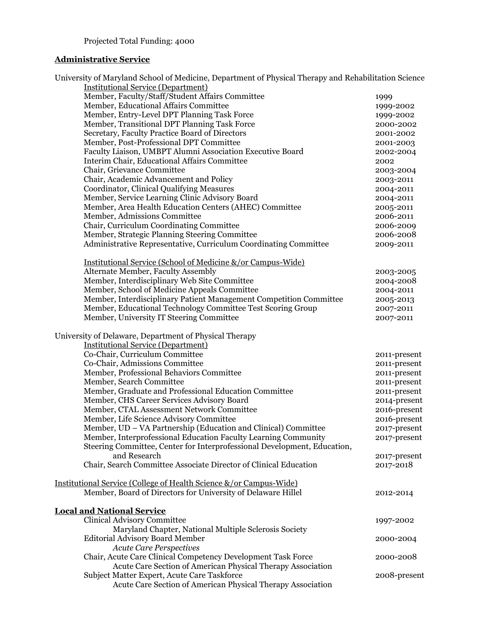# **Administrative Service**

| University of Maryland School of Medicine, Department of Physical Therapy and Rehabilitation Science<br><b>Institutional Service (Department)</b> |              |
|---------------------------------------------------------------------------------------------------------------------------------------------------|--------------|
| Member, Faculty/Staff/Student Affairs Committee                                                                                                   |              |
| Member, Educational Affairs Committee                                                                                                             | 1999         |
|                                                                                                                                                   | 1999-2002    |
| Member, Entry-Level DPT Planning Task Force                                                                                                       | 1999-2002    |
| Member, Transitional DPT Planning Task Force                                                                                                      | 2000-2002    |
| Secretary, Faculty Practice Board of Directors                                                                                                    | 2001-2002    |
| Member, Post-Professional DPT Committee                                                                                                           | 2001-2003    |
| Faculty Liaison, UMBPT Alumni Association Executive Board                                                                                         | 2002-2004    |
| Interim Chair, Educational Affairs Committee                                                                                                      | 2002         |
| Chair, Grievance Committee                                                                                                                        | 2003-2004    |
| Chair, Academic Advancement and Policy                                                                                                            | 2003-2011    |
| Coordinator, Clinical Qualifying Measures                                                                                                         | 2004-2011    |
| Member, Service Learning Clinic Advisory Board                                                                                                    | 2004-2011    |
| Member, Area Health Education Centers (AHEC) Committee                                                                                            | 2005-2011    |
| Member, Admissions Committee                                                                                                                      | 2006-2011    |
| Chair, Curriculum Coordinating Committee                                                                                                          | 2006-2009    |
| Member, Strategic Planning Steering Committee                                                                                                     | 2006-2008    |
| Administrative Representative, Curriculum Coordinating Committee                                                                                  | 2009-2011    |
|                                                                                                                                                   |              |
| Institutional Service (School of Medicine &/or Campus-Wide)                                                                                       |              |
| Alternate Member, Faculty Assembly                                                                                                                | 2003-2005    |
| Member, Interdisciplinary Web Site Committee                                                                                                      | 2004-2008    |
| Member, School of Medicine Appeals Committee                                                                                                      | 2004-2011    |
| Member, Interdisciplinary Patient Management Competition Committee                                                                                | 2005-2013    |
| Member, Educational Technology Committee Test Scoring Group                                                                                       | 2007-2011    |
| Member, University IT Steering Committee                                                                                                          | 2007-2011    |
| University of Delaware, Department of Physical Therapy                                                                                            |              |
| <b>Institutional Service (Department)</b>                                                                                                         |              |
| Co-Chair, Curriculum Committee                                                                                                                    | 2011-present |
| Co-Chair, Admissions Committee                                                                                                                    | 2011-present |
| Member, Professional Behaviors Committee                                                                                                          | 2011-present |
| Member, Search Committee                                                                                                                          | 2011-present |
| Member, Graduate and Professional Education Committee                                                                                             | 2011-present |
| Member, CHS Career Services Advisory Board                                                                                                        | 2014-present |
| Member, CTAL Assessment Network Committee                                                                                                         | 2016-present |
| Member, Life Science Advisory Committee                                                                                                           | 2016-present |
| Member, UD - VA Partnership (Education and Clinical) Committee                                                                                    | 2017-present |
| Member, Interprofessional Education Faculty Learning Community                                                                                    |              |
|                                                                                                                                                   | 2017-present |
| Steering Committee, Center for Interprofessional Development, Education,<br>and Research                                                          |              |
|                                                                                                                                                   | 2017-present |
| Chair, Search Committee Associate Director of Clinical Education                                                                                  | 2017-2018    |
| Institutional Service (College of Health Science &/or Campus-Wide)                                                                                |              |
| Member, Board of Directors for University of Delaware Hillel                                                                                      | 2012-2014    |
| <b>Local and National Service</b>                                                                                                                 |              |
| <b>Clinical Advisory Committee</b>                                                                                                                | 1997-2002    |
| Maryland Chapter, National Multiple Sclerosis Society                                                                                             |              |
| <b>Editorial Advisory Board Member</b>                                                                                                            |              |
| <b>Acute Care Perspectives</b>                                                                                                                    | 2000-2004    |
| Chair, Acute Care Clinical Competency Development Task Force                                                                                      |              |
|                                                                                                                                                   | 2000-2008    |
| Acute Care Section of American Physical Therapy Association                                                                                       |              |
| Subject Matter Expert, Acute Care Taskforce                                                                                                       | 2008-present |
| Acute Care Section of American Physical Therapy Association                                                                                       |              |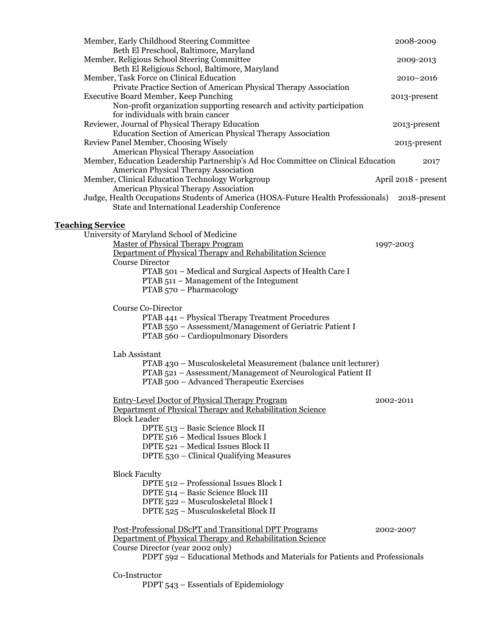| Member, Early Childhood Steering Committee<br>Beth El Preschool, Baltimore, Maryland                                              | 2008-2009            |
|-----------------------------------------------------------------------------------------------------------------------------------|----------------------|
| Member, Religious School Steering Committee                                                                                       | 2009-2013            |
| Beth El Religious School, Baltimore, Maryland<br>Member, Task Force on Clinical Education                                         | 2010-2016            |
| Private Practice Section of American Physical Therapy Association<br><b>Executive Board Member, Keep Punching</b>                 | 2013-present         |
| Non-profit organization supporting research and activity participation<br>for individuals with brain cancer                       |                      |
| Reviewer, Journal of Physical Therapy Education<br><b>Education Section of American Physical Therapy Association</b>              | 2013-present         |
| Review Panel Member, Choosing Wisely                                                                                              | 2015-present         |
| <b>American Physical Therapy Association</b><br>Member, Education Leadership Partnership's Ad Hoc Committee on Clinical Education | 2017                 |
| <b>American Physical Therapy Association</b><br>Member, Clinical Education Technology Workgroup                                   | April 2018 - present |
| <b>American Physical Therapy Association</b>                                                                                      |                      |
| Judge, Health Occupations Students of America (HOSA-Future Health Professionals)<br>State and International Leadership Conference | 2018-present         |
| <b>Teaching Service</b>                                                                                                           |                      |
| University of Maryland School of Medicine                                                                                         |                      |
| <b>Master of Physical Therapy Program</b><br>Department of Physical Therapy and Rehabilitation Science                            | 1997-2003            |
| <b>Course Director</b>                                                                                                            |                      |
| PTAB 501 - Medical and Surgical Aspects of Health Care I                                                                          |                      |
| PTAB 511 – Management of the Integument                                                                                           |                      |
| PTAB 570 - Pharmacology                                                                                                           |                      |
| Course Co-Director                                                                                                                |                      |
| PTAB 441 - Physical Therapy Treatment Procedures                                                                                  |                      |
| PTAB 550 - Assessment/Management of Geriatric Patient I                                                                           |                      |
| PTAB 560 - Cardiopulmonary Disorders                                                                                              |                      |
| Lab Assistant                                                                                                                     |                      |
| PTAB 430 - Musculoskeletal Measurement (balance unit lecturer)                                                                    |                      |
| PTAB 521 - Assessment/Management of Neurological Patient II<br>PTAB 500 - Advanced Therapeutic Exercises                          |                      |
|                                                                                                                                   |                      |
| <b>Entry-Level Doctor of Physical Therapy Program</b>                                                                             | 2002-2011            |
| Department of Physical Therapy and Rehabilitation Science<br><b>Block Leader</b>                                                  |                      |
| DPTE 513 - Basic Science Block II                                                                                                 |                      |
| DPTE 516 - Medical Issues Block I                                                                                                 |                      |
| DPTE 521 - Medical Issues Block II                                                                                                |                      |
| DPTE 530 - Clinical Qualifying Measures                                                                                           |                      |
| <b>Block Faculty</b>                                                                                                              |                      |
| DPTE 512 - Professional Issues Block I                                                                                            |                      |
| DPTE 514 - Basic Science Block III                                                                                                |                      |
| DPTE 522 - Musculoskeletal Block I                                                                                                |                      |
| DPTE 525 - Musculoskeletal Block II                                                                                               |                      |
| Post-Professional DScPT and Transitional DPT Programs                                                                             | 2002-2007            |
| Department of Physical Therapy and Rehabilitation Science                                                                         |                      |
| Course Director (year 2002 only)                                                                                                  |                      |
| PDPT 592 - Educational Methods and Materials for Patients and Professionals                                                       |                      |
| Co-Instructor                                                                                                                     |                      |
| PDPT 543 – Essentials of Epidemiology                                                                                             |                      |
|                                                                                                                                   |                      |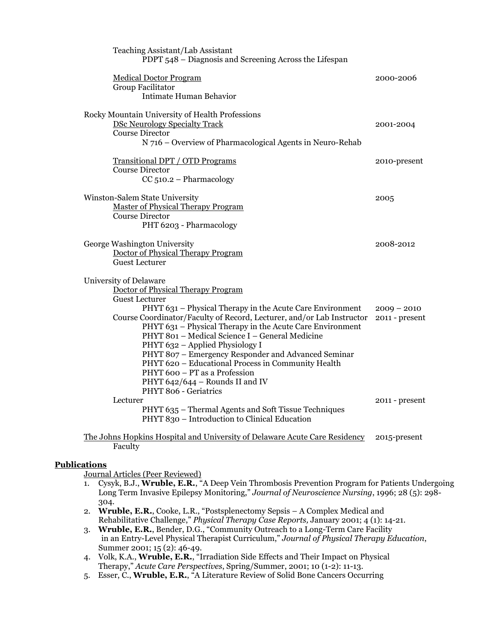| Teaching Assistant/Lab Assistant<br>PDPT 548 – Diagnosis and Screening Across the Lifespan                                                                                                                                                                                                                                                                                                                                                                                                                                                                                               |                                 |
|------------------------------------------------------------------------------------------------------------------------------------------------------------------------------------------------------------------------------------------------------------------------------------------------------------------------------------------------------------------------------------------------------------------------------------------------------------------------------------------------------------------------------------------------------------------------------------------|---------------------------------|
| <b>Medical Doctor Program</b><br>Group Facilitator<br>Intimate Human Behavior                                                                                                                                                                                                                                                                                                                                                                                                                                                                                                            | 2000-2006                       |
| Rocky Mountain University of Health Professions<br><b>DSc Neurology Specialty Track</b><br><b>Course Director</b><br>N 716 – Overview of Pharmacological Agents in Neuro-Rehab                                                                                                                                                                                                                                                                                                                                                                                                           | 2001-2004                       |
| <b>Transitional DPT / OTD Programs</b><br><b>Course Director</b><br>$CC 510.2 - Pharmacology$                                                                                                                                                                                                                                                                                                                                                                                                                                                                                            | 2010-present                    |
| Winston-Salem State University<br><b>Master of Physical Therapy Program</b><br><b>Course Director</b><br>PHT 6203 - Pharmacology                                                                                                                                                                                                                                                                                                                                                                                                                                                         | 2005                            |
| George Washington University<br>Doctor of Physical Therapy Program<br>Guest Lecturer                                                                                                                                                                                                                                                                                                                                                                                                                                                                                                     | 2008-2012                       |
| University of Delaware<br>Doctor of Physical Therapy Program<br><b>Guest Lecturer</b><br>PHYT 631 – Physical Therapy in the Acute Care Environment<br>Course Coordinator/Faculty of Record, Lecturer, and/or Lab Instructor<br>PHYT 631 – Physical Therapy in the Acute Care Environment<br>PHYT 801 - Medical Science I - General Medicine<br>PHYT 632 - Applied Physiology I<br>PHYT 807 - Emergency Responder and Advanced Seminar<br>PHYT 620 - Educational Process in Community Health<br>PHYT 600 - PT as a Profession<br>PHYT 642/644 - Rounds II and IV<br>PHYT 806 - Geriatrics | $2009 - 2010$<br>2011 - present |
| Lecturer<br>PHYT 635 - Thermal Agents and Soft Tissue Techniques<br>PHYT 830 - Introduction to Clinical Education                                                                                                                                                                                                                                                                                                                                                                                                                                                                        | 2011 - present                  |
| The Lebest Hepleters Hermited and Heinemater of Delayerse, Armte Gans Davidserse -----------------------------                                                                                                                                                                                                                                                                                                                                                                                                                                                                           |                                 |

The Johns Hopkins Hospital and University of Delaware Acute Care Residency 2015-present Faculty

#### **Publications**

Journal Articles (Peer Reviewed)

- 1. Cysyk, B.J., **Wruble, E.R.**, "A Deep Vein Thrombosis Prevention Program for Patients Undergoing Long Term Invasive Epilepsy Monitoring," *Journal of Neuroscience Nursing*, 1996; 28 (5): 298- 304.
- 2. **Wruble, E.R.**, Cooke, L.R., "Postsplenectomy Sepsis A Complex Medical and Rehabilitative Challenge," *Physical Therapy Case Reports,* January 2001; 4 (1): 14-21.
- 3. **Wruble, E.R.**, Bender, D.G., "Community Outreach to a Long-Term Care Facility in an Entry-Level Physical Therapist Curriculum," *Journal of Physical Therapy Education*, Summer 2001; 15 (2): 46-49.
- 4. Volk, K.A., **Wruble, E.R.**, "Irradiation Side Effects and Their Impact on Physical Therapy," *Acute Care Perspectives*, Spring/Summer, 2001; 10 (1-2): 11-13.
- 5. Esser, C., **Wruble, E.R.**, "A Literature Review of Solid Bone Cancers Occurring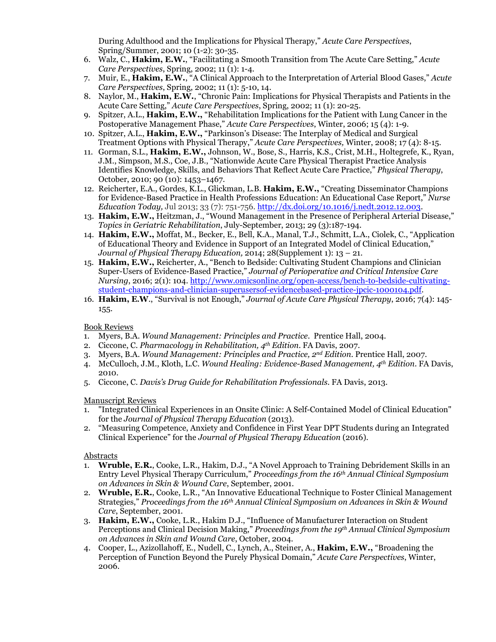During Adulthood and the Implications for Physical Therapy," *Acute Care Perspectives*, Spring/Summer, 2001; 10 (1-2): 30-35.

- 6. Walz, C., **Hakim, E.W.**, "Facilitating a Smooth Transition from The Acute Care Setting," *Acute Care Perspectives*, Spring, 2002; 11 (1): 1-4.
- 7. Muir, E., **Hakim, E.W.**, "A Clinical Approach to the Interpretation of Arterial Blood Gases," *Acute Care Perspectives*, Spring, 2002; 11 (1): 5-10, 14.
- 8. Naylor, M., **Hakim, E.W.**, "Chronic Pain: Implications for Physical Therapists and Patients in the Acute Care Setting," *Acute Care Perspectives*, Spring, 2002; 11 (1): 20-25.
- 9. Spitzer, A.L., **Hakim, E.W.,** "Rehabilitation Implications for the Patient with Lung Cancer in the Postoperative Management Phase," *Acute Care Perspectives*, Winter, 2006; 15 (4): 1-9.
- 10. Spitzer, A.L., **Hakim, E.W.,** "Parkinson's Disease: The Interplay of Medical and Surgical Treatment Options with Physical Therapy," *Acute Care Perspectives,* Winter, 2008; 17 (4): 8-15.
- 11. Gorman, S.L., **Hakim, E.W.,** Johnson, W., Bose, S., Harris, K.S., Crist, M.H., Holtegrefe, K., Ryan, J.M., Simpson, M.S., Coe, J.B., "Nationwide Acute Care Physical Therapist Practice Analysis Identifies Knowledge, Skills, and Behaviors That Reflect Acute Care Practice," *Physical Therapy*, October, 2010; 90 (10): 1453–1467.
- 12. Reicherter, E.A., Gordes, K.L., Glickman, L.B. **Hakim, E.W.,** "Creating Disseminator Champions for Evidence-Based Practice in Health Professions Education: An Educational Case Report," *Nurse Education Today,* Jul 2013; 33 (7): 751-756. [http://dx.doi.org/10.1016/j.nedt.2012.12.003.](http://dx.doi.org/10.1016/j.nedt.2012.12.003)
- 13. **Hakim, E.W.,** Heitzman, J., "Wound Management in the Presence of Peripheral Arterial Disease," *Topics in Geriatric Rehabilitation*, July-September, 2013; 29 (3):187-194.
- 14. **Hakim, E.W.,** Moffat, M., Becker, E., Bell, K.A., Manal, T.J., Schmitt, L.A., Ciolek, C., "Application of Educational Theory and Evidence in Support of an Integrated Model of Clinical Education," *Journal of Physical Therapy Education,* 2014; 28(Supplement 1): 13 – 21.
- 15. **Hakim, E.W.,** Reicherter, A., "Bench to Bedside: Cultivating Student Champions and Clinician Super-Users of Evidence-Based Practice," *Journal of Perioperative and Critical Intensive Care Nursing*, 2016; 2(1): 104. [http://www.omicsonline.org/open-access/bench-to-bedside-cultivating](http://www.omicsonline.org/open-access/bench-to-bedside-cultivating-student-champions-and-clinician-superusersof-evidencebased-practice-jpcic-1000104.pdf)[student-champions-and-clinician-superusersof-evidencebased-practice-jpcic-1000104.pdf.](http://www.omicsonline.org/open-access/bench-to-bedside-cultivating-student-champions-and-clinician-superusersof-evidencebased-practice-jpcic-1000104.pdf)
- 16. **Hakim, E.W**., "Survival is not Enough," *Journal of Acute Care Physical Therapy*, 2016; 7(4): 145- 155.

#### Book Reviews

- 1. Myers, B.A. *Wound Management: Principles and Practice*. Prentice Hall, 2004.
- 2. Ciccone, C. *Pharmacology in Rehabilitation, 4th Edition*. FA Davis, 2007.
- 3. Myers, B.A. *Wound Management: Principles and Practice, 2nd Edition.* Prentice Hall, 2007.
- 4. McCulloch, J.M., Kloth, L.C. *Wound Healing: Evidence-Based Management, 4th Edition*. FA Davis, 2010.
- 5. Ciccone, C. *Davis's Drug Guide for Rehabilitation Professionals.* FA Davis, 2013.

#### Manuscript Reviews

- 1. "Integrated Clinical Experiences in an Onsite Clinic: A Self-Contained Model of Clinical Education" for the *Journal of Physical Therapy Education* (2013).
- 2. "Measuring Competence, Anxiety and Confidence in First Year DPT Students during an Integrated Clinical Experience" for the *Journal of Physical Therapy Education* (2016).

#### Abstracts

- 1. **Wruble, E.R.**, Cooke, L.R., Hakim, D.J., "A Novel Approach to Training Debridement Skills in an Entry Level Physical Therapy Curriculum," *Proceedings from the 16th Annual Clinical Symposium on Advances in Skin & Wound Care*, September, 2001.
- 2. **Wruble, E.R.**, Cooke, L.R., "An Innovative Educational Technique to Foster Clinical Management Strategies," *Proceedings from the 16th Annual Clinical Symposium on Advances in Skin & Wound Care*, September, 2001.
- 3. **Hakim, E.W.,** Cooke, L.R., Hakim D.J., "Influence of Manufacturer Interaction on Student Perceptions and Clinical Decision Making," *Proceedings from the 19th Annual Clinical Symposium on Advances in Skin and Wound Care*, October, 2004.
- 4. Cooper, L., Azizollahoff, E., Nudell, C., Lynch, A., Steiner, A., **Hakim, E.W.,** "Broadening the Perception of Function Beyond the Purely Physical Domain," *Acute Care Perspectives*, Winter, 2006.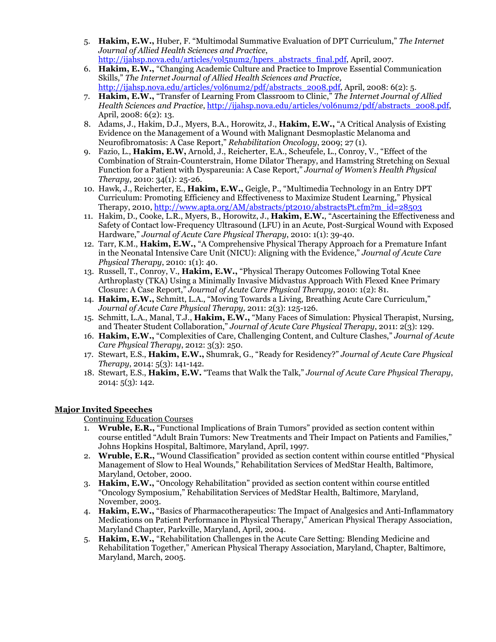- 5. **Hakim, E.W.,** Huber, F. "Multimodal Summative Evaluation of DPT Curriculum," *The Internet Journal of Allied Health Sciences and Practice*, [http://ijahsp.nova.edu/articles/vol5num2/hpers\\_abstracts\\_final.pdf,](http://ijahsp.nova.edu/articles/vol5num2/hpers_abstracts_final.pdf) April, 2007.
- 6. **Hakim, E.W.,** "Changing Academic Culture and Practice to Improve Essential Communication Skills," *The Internet Journal of Allied Health Sciences and Practice*, [http://ijahsp.nova.edu/articles/vol6num2/pdf/abstracts\\_2008.pdf,](http://ijahsp.nova.edu/articles/vol6num2/pdf/abstracts_2008.pdf) April, 2008: 6(2): 5.
- 7. **Hakim, E.W.,** "Transfer of Learning From Classroom to Clinic," *The Internet Journal of Allied Health Sciences and Practice*[, http://ijahsp.nova.edu/articles/vol6num2/pdf/abstracts\\_2008.pdf,](http://ijahsp.nova.edu/articles/vol6num2/pdf/abstracts_2008.pdf) April, 2008: 6(2): 13.
- 8. Adams, J., Hakim, D.J., Myers, B.A., Horowitz, J., **Hakim, E.W.,** "A Critical Analysis of Existing Evidence on the Management of a Wound with Malignant Desmoplastic Melanoma and Neurofibromatosis: A Case Report," *Rehabilitation Oncology*, 2009; 27 (1).
- 9. Fazio, L., **Hakim, E.W,** Arnold, J., Reicherter, E.A., Scheufele, L., Conroy, V., "Effect of the Combination of Strain-Counterstrain, Home Dilator Therapy, and Hamstring Stretching on Sexual Function for a Patient with Dyspareunia: A Case Report," *Journal of Women's Health Physical Therapy*, 2010: 34(1): 25-26.
- 10. Hawk, J., Reicherter, E., **Hakim, E.W.,** Geigle, P., "Multimedia Technology in an Entry DPT Curriculum: Promoting Efficiency and Effectiveness to Maximize Student Learning," Physical Therapy, 2010[, http://www.apta.org/AM/abstracts/pt2010/abstractsPt.cfm?m\\_id=28503](http://www.apta.org/AM/abstracts/pt2010/abstractsPt.cfm?m_id=28503)
- 11. Hakim, D., Cooke, L.R., Myers, B., Horowitz, J., **Hakim, E.W.**, "Ascertaining the Effectiveness and Safety of Contact low-Frequency Ultrasound (LFU) in an Acute, Post-Surgical Wound with Exposed Hardware," *Journal of Acute Care Physical Therapy*, 2010: 1(1): 39-40.
- 12. Tarr, K.M., **Hakim, E.W.,** "A Comprehensive Physical Therapy Approach for a Premature Infant in the Neonatal Intensive Care Unit (NICU): Aligning with the Evidence," *Journal of Acute Care Physical Therapy*, 2010: 1(1): 40.
- 13. Russell, T., Conroy, V., **Hakim, E.W.,** "Physical Therapy Outcomes Following Total Knee Arthroplasty (TKA) Using a Minimally Invasive Midvastus Approach With Flexed Knee Primary Closure: A Case Report," *Journal of Acute Care Physical Therapy*, 2010: 1(2): 81.
- 14. **Hakim, E.W.,** Schmitt, L.A., "Moving Towards a Living, Breathing Acute Care Curriculum," *Journal of Acute Care Physical Therapy*, 2011: 2(3): 125-126.
- 15. Schmitt, L.A., Manal, T.J., **Hakim, E.W.,** "Many Faces of Simulation: Physical Therapist, Nursing, and Theater Student Collaboration," *Journal of Acute Care Physical Therapy*, 2011: 2(3): 129.
- 16. **Hakim, E.W.,** "Complexities of Care, Challenging Content, and Culture Clashes," *Journal of Acute Care Physical Therapy*, 2012: 3(3): 250.
- 17. Stewart, E.S., **Hakim, E.W.,** Shumrak, G., "Ready for Residency?" *Journal of Acute Care Physical Therapy*, 2014: 5(3): 141-142.
- 18. Stewart, E.S., **Hakim, E.W.** "Teams that Walk the Talk," *Journal of Acute Care Physical Therapy*, 2014: 5(3): 142.

## **Major Invited Speeches**

Continuing Education Courses

- 1. **Wruble, E.R.,** "Functional Implications of Brain Tumors" provided as section content within course entitled "Adult Brain Tumors: New Treatments and Their Impact on Patients and Families," Johns Hopkins Hospital, Baltimore, Maryland, April, 1997.
- 2. **Wruble, E.R.,** "Wound Classification" provided as section content within course entitled "Physical Management of Slow to Heal Wounds," Rehabilitation Services of MedStar Health, Baltimore, Maryland, October, 2000.
- 3. **Hakim, E.W.,** "Oncology Rehabilitation" provided as section content within course entitled "Oncology Symposium," Rehabilitation Services of MedStar Health, Baltimore, Maryland, November, 2003.
- 4. **Hakim, E.W.,** "Basics of Pharmacotherapeutics: The Impact of Analgesics and Anti-Inflammatory Medications on Patient Performance in Physical Therapy," American Physical Therapy Association, Maryland Chapter, Parkville, Maryland, April, 2004.
- 5. **Hakim, E.W.,** "Rehabilitation Challenges in the Acute Care Setting: Blending Medicine and Rehabilitation Together," American Physical Therapy Association, Maryland, Chapter, Baltimore, Maryland, March, 2005.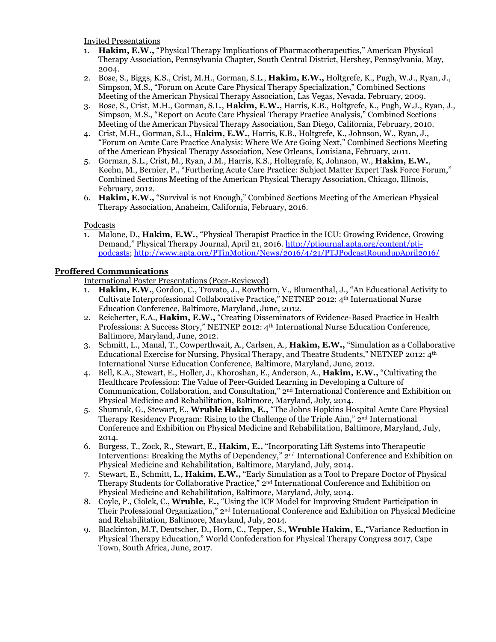Invited Presentations

- 1. **Hakim, E.W.,** "Physical Therapy Implications of Pharmacotherapeutics," American Physical Therapy Association, Pennsylvania Chapter, South Central District, Hershey, Pennsylvania, May, 2004.
- 2. Bose, S., Biggs, K.S., Crist, M.H., Gorman, S.L., **Hakim, E.W.,** Holtgrefe, K., Pugh, W.J., Ryan, J., Simpson, M.S., "Forum on Acute Care Physical Therapy Specialization," Combined Sections Meeting of the American Physical Therapy Association, Las Vegas, Nevada, February, 2009.
- 3. Bose, S., Crist, M.H., Gorman, S.L., **Hakim, E.W.,** Harris, K.B., Holtgrefe, K., Pugh, W.J., Ryan, J., Simpson, M.S., "Report on Acute Care Physical Therapy Practice Analysis," Combined Sections Meeting of the American Physical Therapy Association, San Diego, California, February, 2010.
- 4. Crist, M.H., Gorman, S.L., **Hakim, E.W.,** Harris, K.B., Holtgrefe, K., Johnson, W., Ryan, J., "Forum on Acute Care Practice Analysis: Where We Are Going Next," Combined Sections Meeting of the American Physical Therapy Association, New Orleans, Louisiana, February, 2011.
- 5. Gorman, S.L., Crist, M., Ryan, J.M., Harris, K.S., Holtegrafe, K, Johnson, W., **Hakim, E.W.**, Keehn, M., Bernier, P., "Furthering Acute Care Practice: Subject Matter Expert Task Force Forum," Combined Sections Meeting of the American Physical Therapy Association, Chicago, Illinois, February, 2012.
- 6. **Hakim, E.W.,** "Survival is not Enough," Combined Sections Meeting of the American Physical Therapy Association, Anaheim, California, February, 2016.

Podcasts

1. Malone, D., **Hakim, E.W.,** "Physical Therapist Practice in the ICU: Growing Evidence, Growing Demand," Physical Therapy Journal, April 21, 2016. [http://ptjournal.apta.org/content/ptj](http://ptjournal.apta.org/content/ptj-podcasts)[podcasts;](http://ptjournal.apta.org/content/ptj-podcasts)<http://www.apta.org/PTinMotion/News/2016/4/21/PTJPodcastRoundupApril2016/>

## **Proffered Communications**

International Poster Presentations (Peer-Reviewed)

- 1. **Hakim, E.W.**, Gordon, C., Trovato, J., Rowthorn, V., Blumenthal, J., "An Educational Activity to Cultivate Interprofessional Collaborative Practice," NETNEP 2012: 4th International Nurse Education Conference, Baltimore, Maryland, June, 2012.
- 2. Reicherter, E.A., **Hakim, E.W.,** "Creating Disseminators of Evidence-Based Practice in Health Professions: A Success Story," NETNEP 2012: 4th International Nurse Education Conference, Baltimore, Maryland, June, 2012.
- 3. Schmitt, L., Manal, T., Cowperthwait, A., Carlsen, A., **Hakim, E.W.,** "Simulation as a Collaborative Educational Exercise for Nursing, Physical Therapy, and Theatre Students," NETNEP 2012: 4th International Nurse Education Conference, Baltimore, Maryland, June, 2012.
- 4. Bell, K.A., Stewart, E., Holler, J., Khoroshan, E., Anderson, A., **Hakim, E.W.,** "Cultivating the Healthcare Profession: The Value of Peer-Guided Learning in Developing a Culture of Communication, Collaboration, and Consultation," 2nd International Conference and Exhibition on Physical Medicine and Rehabilitation, Baltimore, Maryland, July, 2014.
- 5. Shumrak, G., Stewart, E., **Wruble Hakim, E.,** "The Johns Hopkins Hospital Acute Care Physical Therapy Residency Program: Rising to the Challenge of the Triple Aim," 2nd International Conference and Exhibition on Physical Medicine and Rehabilitation, Baltimore, Maryland, July, 2014.
- 6. Burgess, T., Zock, R., Stewart, E., **Hakim, E.,** "Incorporating Lift Systems into Therapeutic Interventions: Breaking the Myths of Dependency," 2nd International Conference and Exhibition on Physical Medicine and Rehabilitation, Baltimore, Maryland, July, 2014.
- 7. Stewart, E., Schmitt, L., **Hakim, E.W.,** "Early Simulation as a Tool to Prepare Doctor of Physical Therapy Students for Collaborative Practice," 2nd International Conference and Exhibition on Physical Medicine and Rehabilitation, Baltimore, Maryland, July, 2014.
- 8. Coyle, P., Ciolek, C., **Wruble, E.,** "Using the ICF Model for Improving Student Participation in Their Professional Organization," 2nd International Conference and Exhibition on Physical Medicine and Rehabilitation, Baltimore, Maryland, July, 2014.
- 9. Blackinton, M.T, Deutscher, D., Horn, C., Tepper, S., **Wruble Hakim, E.**,"Variance Reduction in Physical Therapy Education," World Confederation for Physical Therapy Congress 2017, Cape Town, South Africa, June, 2017.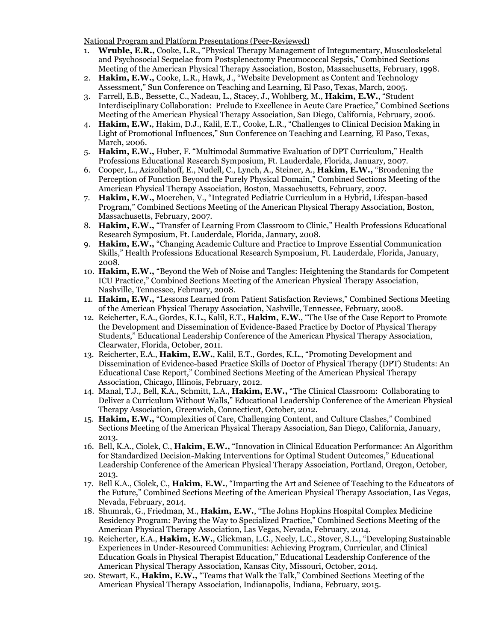National Program and Platform Presentations (Peer-Reviewed)

- 1. **Wruble, E.R.,** Cooke, L.R., "Physical Therapy Management of Integumentary, Musculoskeletal and Psychosocial Sequelae from Postsplenectomy Pneumococcal Sepsis," Combined Sections Meeting of the American Physical Therapy Association, Boston, Massachusetts, February, 1998.
- 2. **Hakim, E.W.,** Cooke, L.R., Hawk, J., "Website Development as Content and Technology Assessment," Sun Conference on Teaching and Learning, El Paso, Texas, March, 2005.
- 3. Farrell, E.B., Bessette, C., Nadeau, L., Stacey, J., Wohlberg, M., **Hakim, E.W.**, "Student Interdisciplinary Collaboration: Prelude to Excellence in Acute Care Practice," Combined Sections Meeting of the American Physical Therapy Association, San Diego, California, February, 2006.
- 4. **Hakim, E.W.**, Hakim, D.J., Kalil, E.T., Cooke, L.R., "Challenges to Clinical Decision Making in Light of Promotional Influences," Sun Conference on Teaching and Learning, El Paso, Texas, March, 2006.
- 5. **Hakim, E.W.,** Huber, F. "Multimodal Summative Evaluation of DPT Curriculum," Health Professions Educational Research Symposium, Ft. Lauderdale, Florida, January, 2007.
- 6. Cooper, L., Azizollahoff, E., Nudell, C., Lynch, A., Steiner, A., **Hakim, E.W.,** "Broadening the Perception of Function Beyond the Purely Physical Domain," Combined Sections Meeting of the American Physical Therapy Association, Boston, Massachusetts, February, 2007.
- 7. **Hakim, E.W.,** Moerchen, V., "Integrated Pediatric Curriculum in a Hybrid, Lifespan-based Program," Combined Sections Meeting of the American Physical Therapy Association, Boston, Massachusetts, February, 2007.
- 8. **Hakim, E.W.,** "Transfer of Learning From Classroom to Clinic," Health Professions Educational Research Symposium, Ft. Lauderdale, Florida, January, 2008.
- 9. **Hakim, E.W.,** "Changing Academic Culture and Practice to Improve Essential Communication Skills," Health Professions Educational Research Symposium, Ft. Lauderdale, Florida, January, 2008.
- 10. **Hakim, E.W.,** "Beyond the Web of Noise and Tangles: Heightening the Standards for Competent ICU Practice," Combined Sections Meeting of the American Physical Therapy Association, Nashville, Tennessee, February, 2008.
- 11. **Hakim, E.W.,** "Lessons Learned from Patient Satisfaction Reviews," Combined Sections Meeting of the American Physical Therapy Association, Nashville, Tennessee, February, 2008.
- 12. Reicherter, E.A., Gordes, K.L., Kalil, E.T., **Hakim, E.W**., "The Use of the Case Report to Promote the Development and Dissemination of Evidence-Based Practice by Doctor of Physical Therapy Students," Educational Leadership Conference of the American Physical Therapy Association, Clearwater, Florida, October, 2011.
- 13. Reicherter, E.A., **Hakim, E.W.**, Kalil, E.T., Gordes, K.L., "Promoting Development and Dissemination of Evidence-based Practice Skills of Doctor of Physical Therapy (DPT) Students: An Educational Case Report," Combined Sections Meeting of the American Physical Therapy Association, Chicago, Illinois, February, 2012.
- 14. Manal, T.J., Bell, K.A., Schmitt, L.A., **Hakim, E.W.,** "The Clinical Classroom: Collaborating to Deliver a Curriculum Without Walls," Educational Leadership Conference of the American Physical Therapy Association, Greenwich, Connecticut, October, 2012.
- 15. **Hakim, E.W.,** "Complexities of Care, Challenging Content, and Culture Clashes," Combined Sections Meeting of the American Physical Therapy Association, San Diego, California, January, 2013.
- 16. Bell, K.A., Ciolek, C., **Hakim, E.W.,** "Innovation in Clinical Education Performance: An Algorithm for Standardized Decision-Making Interventions for Optimal Student Outcomes," Educational Leadership Conference of the American Physical Therapy Association, Portland, Oregon, October, 2013.
- 17. Bell K.A., Ciolek, C., **Hakim, E.W.**, "Imparting the Art and Science of Teaching to the Educators of the Future," Combined Sections Meeting of the American Physical Therapy Association, Las Vegas, Nevada, February, 2014.
- 18. Shumrak, G., Friedman, M., **Hakim, E.W.**, "The Johns Hopkins Hospital Complex Medicine Residency Program: Paving the Way to Specialized Practice," Combined Sections Meeting of the American Physical Therapy Association, Las Vegas, Nevada, February, 2014.
- 19. Reicherter, E.A., **Hakim, E.W.**, Glickman, L.G., Neely, L.C., Stover, S.L., "Developing Sustainable Experiences in Under-Resourced Communities: Achieving Program, Curricular, and Clinical Education Goals in Physical Therapist Education," Educational Leadership Conference of the American Physical Therapy Association, Kansas City, Missouri, October, 2014.
- 20. Stewart, E., **Hakim, E.W.,** "Teams that Walk the Talk," Combined Sections Meeting of the American Physical Therapy Association, Indianapolis, Indiana, February, 2015.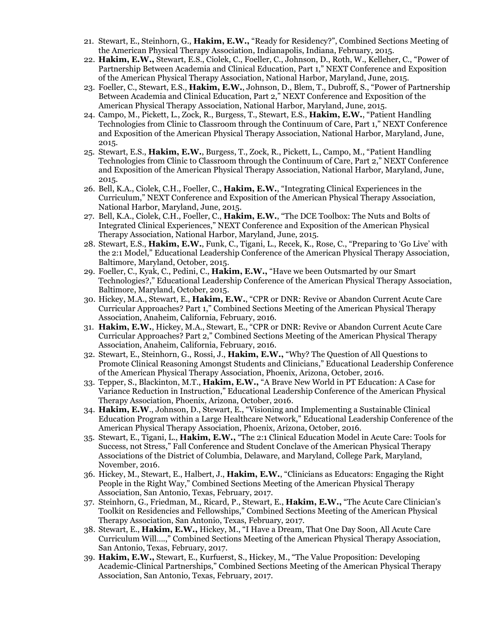- 21. Stewart, E., Steinhorn, G., **Hakim, E.W.,** "Ready for Residency?", Combined Sections Meeting of the American Physical Therapy Association, Indianapolis, Indiana, February, 2015.
- 22. **Hakim, E.W.,** Stewart, E.S., Ciolek, C., Foeller, C., Johnson, D., Roth, W., Kelleher, C., "Power of Partnership Between Academia and Clinical Education, Part 1," NEXT Conference and Exposition of the American Physical Therapy Association, National Harbor, Maryland, June, 2015.
- 23. Foeller, C., Stewart, E.S., **Hakim, E.W.**, Johnson, D., Blem, T., Dubroff, S., "Power of Partnership Between Academia and Clinical Education, Part 2," NEXT Conference and Exposition of the American Physical Therapy Association, National Harbor, Maryland, June, 2015.
- 24. Campo, M., Pickett, L., Zock, R., Burgess, T., Stewart, E.S., **Hakim, E.W.**, "Patient Handling Technologies from Clinic to Classroom through the Continuum of Care, Part 1," NEXT Conference and Exposition of the American Physical Therapy Association, National Harbor, Maryland, June, 2015.
- 25. Stewart, E.S., **Hakim, E.W.**, Burgess, T., Zock, R., Pickett, L., Campo, M., "Patient Handling Technologies from Clinic to Classroom through the Continuum of Care, Part 2," NEXT Conference and Exposition of the American Physical Therapy Association, National Harbor, Maryland, June, 2015.
- 26. Bell, K.A., Ciolek, C.H., Foeller, C., **Hakim, E.W.**, "Integrating Clinical Experiences in the Curriculum," NEXT Conference and Exposition of the American Physical Therapy Association, National Harbor, Maryland, June, 2015.
- 27. Bell, K.A., Ciolek, C.H., Foeller, C., **Hakim, E.W.**, "The DCE Toolbox: The Nuts and Bolts of Integrated Clinical Experiences," NEXT Conference and Exposition of the American Physical Therapy Association, National Harbor, Maryland, June, 2015.
- 28. Stewart, E.S., **Hakim, E.W.**, Funk, C., Tigani, L., Recek, K., Rose, C., "Preparing to 'Go Live' with the 2:1 Model," Educational Leadership Conference of the American Physical Therapy Association, Baltimore, Maryland, October, 2015.
- 29. Foeller, C., Kyak, C., Pedini, C., **Hakim, E.W.,** "Have we been Outsmarted by our Smart Technologies?," Educational Leadership Conference of the American Physical Therapy Association, Baltimore, Maryland, October, 2015.
- 30. Hickey, M.A., Stewart, E., **Hakim, E.W.**, "CPR or DNR: Revive or Abandon Current Acute Care Curricular Approaches? Part 1," Combined Sections Meeting of the American Physical Therapy Association, Anaheim, California, February, 2016.
- 31. **Hakim, E.W.**, Hickey, M.A., Stewart, E., "CPR or DNR: Revive or Abandon Current Acute Care Curricular Approaches? Part 2," Combined Sections Meeting of the American Physical Therapy Association, Anaheim, California, February, 2016.
- 32. Stewart, E., Steinhorn, G., Rossi, J., **Hakim, E.W.,** "Why? The Question of All Questions to Promote Clinical Reasoning Amongst Students and Clinicians," Educational Leadership Conference of the American Physical Therapy Association, Phoenix, Arizona, October, 2016.
- 33. Tepper, S., Blackinton, M.T., **Hakim, E.W.,** "A Brave New World in PT Education: A Case for Variance Reduction in Instruction," Educational Leadership Conference of the American Physical Therapy Association, Phoenix, Arizona, October, 2016.
- 34. **Hakim, E.W**., Johnson, D., Stewart, E., "Visioning and Implementing a Sustainable Clinical Education Program within a Large Healthcare Network," Educational Leadership Conference of the American Physical Therapy Association, Phoenix, Arizona, October, 2016.
- 35. Stewart, E., Tigani, L., **Hakim, E.W.,** "The 2:1 Clinical Education Model in Acute Care: Tools for Success, not Stress," Fall Conference and Student Conclave of the American Physical Therapy Associations of the District of Columbia, Delaware, and Maryland, College Park, Maryland, November, 2016.
- 36. Hickey, M., Stewart, E., Halbert, J., **Hakim, E.W.**, "Clinicians as Educators: Engaging the Right People in the Right Way," Combined Sections Meeting of the American Physical Therapy Association, San Antonio, Texas, February, 2017.
- 37. Steinhorn, G., Friedman, M., Ricard, P., Stewart, E., **Hakim, E.W.,** "The Acute Care Clinician's Toolkit on Residencies and Fellowships," Combined Sections Meeting of the American Physical Therapy Association, San Antonio, Texas, February, 2017.
- 38. Stewart, E., **Hakim, E.W.,** Hickey, M., "I Have a Dream, That One Day Soon, All Acute Care Curriculum Will….," Combined Sections Meeting of the American Physical Therapy Association, San Antonio, Texas, February, 2017.
- 39. **Hakim, E.W.,** Stewart, E., Kurfuerst, S., Hickey, M., "The Value Proposition: Developing Academic-Clinical Partnerships," Combined Sections Meeting of the American Physical Therapy Association, San Antonio, Texas, February, 2017.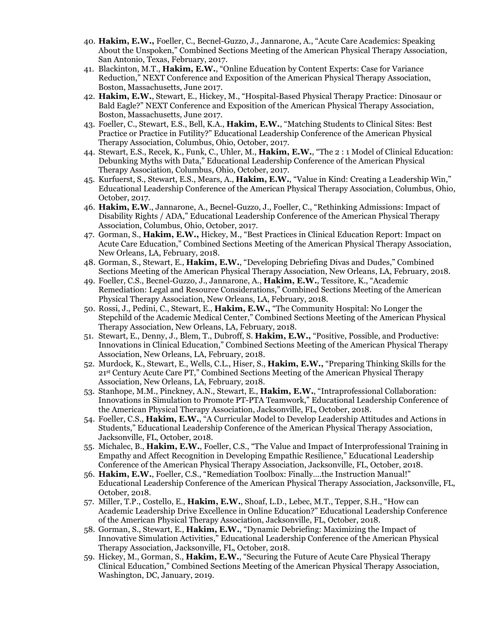- 40. **Hakim, E.W.,** Foeller, C., Becnel-Guzzo, J., Jannarone, A., "Acute Care Academics: Speaking About the Unspoken," Combined Sections Meeting of the American Physical Therapy Association, San Antonio, Texas, February, 2017.
- 41. Blackinton, M.T., **Hakim, E.W.**, "Online Education by Content Experts: Case for Variance Reduction," NEXT Conference and Exposition of the American Physical Therapy Association, Boston, Massachusetts, June 2017.
- 42. **Hakim, E.W.**, Stewart, E., Hickey, M., "Hospital-Based Physical Therapy Practice: Dinosaur or Bald Eagle?" NEXT Conference and Exposition of the American Physical Therapy Association, Boston, Massachusetts, June 2017.
- 43. Foeller, C., Stewart, E.S., Bell, K.A., **Hakim, E.W.**, "Matching Students to Clinical Sites: Best Practice or Practice in Futility?" Educational Leadership Conference of the American Physical Therapy Association, Columbus, Ohio, October, 2017.
- 44. Stewart, E.S., Recek, K., Funk, C., Uhler, M., **Hakim, E.W.**, "The 2 : 1 Model of Clinical Education: Debunking Myths with Data," Educational Leadership Conference of the American Physical Therapy Association, Columbus, Ohio, October, 2017.
- 45. Kurfuerst, S., Stewart, E.S., Mears, A., **Hakim, E.W.**, "Value in Kind: Creating a Leadership Win," Educational Leadership Conference of the American Physical Therapy Association, Columbus, Ohio, October, 2017.
- 46. **Hakim, E.W**., Jannarone, A., Becnel-Guzzo, J., Foeller, C., "Rethinking Admissions: Impact of Disability Rights / ADA," Educational Leadership Conference of the American Physical Therapy Association, Columbus, Ohio, October, 2017.
- 47. Gorman, S., **Hakim, E.W.,** Hickey, M., "Best Practices in Clinical Education Report: Impact on Acute Care Education," Combined Sections Meeting of the American Physical Therapy Association, New Orleans, LA, February, 2018.
- 48. Gorman, S., Stewart, E., **Hakim, E.W.**, "Developing Debriefing Divas and Dudes," Combined Sections Meeting of the American Physical Therapy Association, New Orleans, LA, February, 2018.
- 49. Foeller, C.S., Becnel-Guzzo, J., Jannarone, A., **Hakim, E.W.**, Tessitore, K., "Academic Remediation: Legal and Resource Considerations," Combined Sections Meeting of the American Physical Therapy Association, New Orleans, LA, February, 2018.
- 50. Rossi, J., Pedini, C., Stewart, E., **Hakim, E.W.,** "The Community Hospital: No Longer the Stepchild of the Academic Medical Center," Combined Sections Meeting of the American Physical Therapy Association, New Orleans, LA, February, 2018.
- 51. Stewart, E., Denny, J., Blem, T., Dubroff, S. **Hakim, E.W.,** "Positive, Possible, and Productive: Innovations in Clinical Education," Combined Sections Meeting of the American Physical Therapy Association, New Orleans, LA, February, 2018.
- 52. Murdock, K., Stewart, E., Wells, C.L., Hiser, S., **Hakim, E.W.,** "Preparing Thinking Skills for the 21st Century Acute Care PT," Combined Sections Meeting of the American Physical Therapy Association, New Orleans, LA, February, 2018.
- 53. Stanhope, M.M., Pinckney, A.N., Stewart, E., **Hakim, E.W.**, "Intraprofessional Collaboration: Innovations in Simulation to Promote PT-PTA Teamwork," Educational Leadership Conference of the American Physical Therapy Association, Jacksonville, FL, October, 2018.
- 54. Foeller, C.S., **Hakim, E.W.**, "A Curricular Model to Develop Leadership Attitudes and Actions in Students," Educational Leadership Conference of the American Physical Therapy Association, Jacksonville, FL, October, 2018.
- 55. Michalec, B., **Hakim, E.W.**, Foeller, C.S., "The Value and Impact of Interprofessional Training in Empathy and Affect Recognition in Developing Empathic Resilience," Educational Leadership Conference of the American Physical Therapy Association, Jacksonville, FL, October, 2018.
- 56. **Hakim, E.W.**, Foeller, C.S., "Remediation Toolbox: Finally….the Instruction Manual!" Educational Leadership Conference of the American Physical Therapy Association, Jacksonville, FL, October, 2018.
- 57. Miller, T.P., Costello, E., **Hakim, E.W.**, Shoaf, L.D., Lebec, M.T., Tepper, S.H., "How can Academic Leadership Drive Excellence in Online Education?" Educational Leadership Conference of the American Physical Therapy Association, Jacksonville, FL, October, 2018.
- 58. Gorman, S., Stewart, E., **Hakim, E.W.**, "Dynamic Debriefing: Maximizing the Impact of Innovative Simulation Activities," Educational Leadership Conference of the American Physical Therapy Association, Jacksonville, FL, October, 2018.
- 59. Hickey, M., Gorman, S., **Hakim, E.W.**, "Securing the Future of Acute Care Physical Therapy Clinical Education," Combined Sections Meeting of the American Physical Therapy Association, Washington, DC, January, 2019.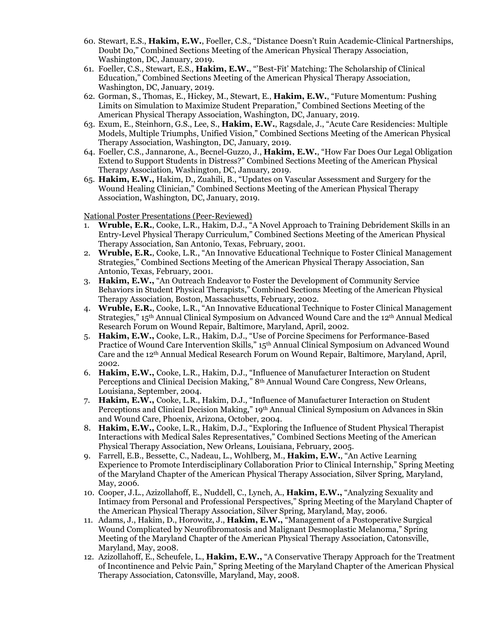- 60. Stewart, E.S., **Hakim, E.W.**, Foeller, C.S., "Distance Doesn't Ruin Academic-Clinical Partnerships, Doubt Do," Combined Sections Meeting of the American Physical Therapy Association, Washington, DC, January, 2019.
- 61. Foeller, C.S., Stewart, E.S., **Hakim, E.W.**, "'Best-Fit' Matching: The Scholarship of Clinical Education," Combined Sections Meeting of the American Physical Therapy Association, Washington, DC, January, 2019.
- 62. Gorman, S., Thomas, E., Hickey, M., Stewart, E., **Hakim, E.W.**, "Future Momentum: Pushing Limits on Simulation to Maximize Student Preparation," Combined Sections Meeting of the American Physical Therapy Association, Washington, DC, January, 2019.
- 63. Exum, E., Steinhorn, G.S., Lee, S., **Hakim, E.W.**, Ragsdale, J., "Acute Care Residencies: Multiple Models, Multiple Triumphs, Unified Vision," Combined Sections Meeting of the American Physical Therapy Association, Washington, DC, January, 2019.
- 64. Foeller, C.S., Jannarone, A., Becnel-Guzzo, J., **Hakim, E.W.**, "How Far Does Our Legal Obligation Extend to Support Students in Distress?" Combined Sections Meeting of the American Physical Therapy Association, Washington, DC, January, 2019.
- 65. **Hakim, E.W.,** Hakim, D., Zuahili, B., "Updates on Vascular Assessment and Surgery for the Wound Healing Clinician," Combined Sections Meeting of the American Physical Therapy Association, Washington, DC, January, 2019.

National Poster Presentations (Peer-Reviewed)

- 1. **Wruble, E.R.**, Cooke, L.R., Hakim, D.J., "A Novel Approach to Training Debridement Skills in an Entry-Level Physical Therapy Curriculum," Combined Sections Meeting of the American Physical Therapy Association, San Antonio, Texas, February, 2001.
- 2. **Wruble, E.R.**, Cooke, L.R., "An Innovative Educational Technique to Foster Clinical Management Strategies," Combined Sections Meeting of the American Physical Therapy Association, San Antonio, Texas, February, 2001.
- 3. **Hakim, E.W.,** "An Outreach Endeavor to Foster the Development of Community Service Behaviors in Student Physical Therapists," Combined Sections Meeting of the American Physical Therapy Association, Boston, Massachusetts, February, 2002.
- 4. **Wruble, E.R.**, Cooke, L.R., "An Innovative Educational Technique to Foster Clinical Management Strategies," 15th Annual Clinical Symposium on Advanced Wound Care and the 12th Annual Medical Research Forum on Wound Repair, Baltimore, Maryland, April, 2002.
- 5. **Hakim, E.W.,** Cooke, L.R., Hakim, D.J., "Use of Porcine Specimens for Performance-Based Practice of Wound Care Intervention Skills," 15th Annual Clinical Symposium on Advanced Wound Care and the 12th Annual Medical Research Forum on Wound Repair, Baltimore, Maryland, April, 2002.
- 6. **Hakim, E.W.,** Cooke, L.R., Hakim, D.J., "Influence of Manufacturer Interaction on Student Perceptions and Clinical Decision Making," 8th Annual Wound Care Congress, New Orleans, Louisiana, September, 2004.
- 7. **Hakim, E.W.,** Cooke, L.R., Hakim, D.J., "Influence of Manufacturer Interaction on Student Perceptions and Clinical Decision Making," 19th Annual Clinical Symposium on Advances in Skin and Wound Care, Phoenix, Arizona, October, 2004.
- 8. **Hakim, E.W.,** Cooke, L.R., Hakim, D.J., "Exploring the Influence of Student Physical Therapist Interactions with Medical Sales Representatives," Combined Sections Meeting of the American Physical Therapy Association, New Orleans, Louisiana, February, 2005.
- 9. Farrell, E.B., Bessette, C., Nadeau, L., Wohlberg, M., **Hakim, E.W.**, "An Active Learning Experience to Promote Interdisciplinary Collaboration Prior to Clinical Internship," Spring Meeting of the Maryland Chapter of the American Physical Therapy Association, Silver Spring, Maryland, May, 2006.
- 10. Cooper, J.L., Azizollahoff, E., Nuddell, C., Lynch, A., **Hakim, E.W.,** "Analyzing Sexuality and Intimacy from Personal and Professional Perspectives," Spring Meeting of the Maryland Chapter of the American Physical Therapy Association, Silver Spring, Maryland, May, 2006.
- 11. Adams, J., Hakim, D., Horowitz, J., **Hakim, E.W.,** "Management of a Postoperative Surgical Wound Complicated by Neurofibromatosis and Malignant Desmoplastic Melanoma," Spring Meeting of the Maryland Chapter of the American Physical Therapy Association, Catonsville, Maryland, May, 2008.
- 12. Azizollahoff, E., Scheufele, L., **Hakim, E.W.,** "A Conservative Therapy Approach for the Treatment of Incontinence and Pelvic Pain," Spring Meeting of the Maryland Chapter of the American Physical Therapy Association, Catonsville, Maryland, May, 2008.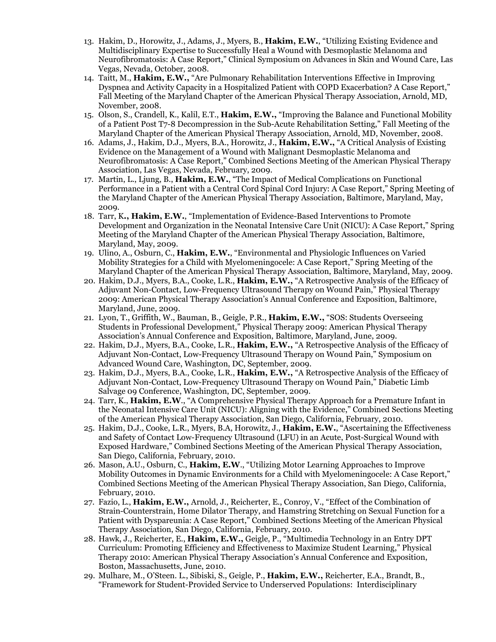- 13. Hakim, D., Horowitz, J., Adams, J., Myers, B., **Hakim, E.W.**, "Utilizing Existing Evidence and Multidisciplinary Expertise to Successfully Heal a Wound with Desmoplastic Melanoma and Neurofibromatosis: A Case Report," Clinical Symposium on Advances in Skin and Wound Care, Las Vegas, Nevada, October, 2008.
- 14. Taitt, M., **Hakim, E.W.,** "Are Pulmonary Rehabilitation Interventions Effective in Improving Dyspnea and Activity Capacity in a Hospitalized Patient with COPD Exacerbation? A Case Report," Fall Meeting of the Maryland Chapter of the American Physical Therapy Association, Arnold, MD, November, 2008.
- 15. Olson, S., Crandell, K., Kalil, E.T., **Hakim, E.W.,** "Improving the Balance and Functional Mobility of a Patient Post T7-8 Decompression in the Sub-Acute Rehabilitation Setting," Fall Meeting of the Maryland Chapter of the American Physical Therapy Association, Arnold, MD, November, 2008.
- 16. Adams, J., Hakim, D.J., Myers, B.A., Horowitz, J., **Hakim, E.W.,** "A Critical Analysis of Existing Evidence on the Management of a Wound with Malignant Desmoplastic Melanoma and Neurofibromatosis: A Case Report," Combined Sections Meeting of the American Physical Therapy Association, Las Vegas, Nevada, February, 2009.
- 17. Martin, L., Ljung, B., **Hakim, E.W.**, "The Impact of Medical Complications on Functional Performance in a Patient with a Central Cord Spinal Cord Injury: A Case Report," Spring Meeting of the Maryland Chapter of the American Physical Therapy Association, Baltimore, Maryland, May, 2009.
- 18. Tarr, K**., Hakim, E.W.**, "Implementation of Evidence-Based Interventions to Promote Development and Organization in the Neonatal Intensive Care Unit (NICU): A Case Report," Spring Meeting of the Maryland Chapter of the American Physical Therapy Association, Baltimore, Maryland, May, 2009.
- 19. Ulino, A., Osburn, C., **Hakim, E.W.**, "Environmental and Physiologic Influences on Varied Mobility Strategies for a Child with Myelomeningocele: A Case Report," Spring Meeting of the Maryland Chapter of the American Physical Therapy Association, Baltimore, Maryland, May, 2009.
- 20. Hakim, D.J., Myers, B.A., Cooke, L.R., **Hakim, E.W.,** "A Retrospective Analysis of the Efficacy of Adjuvant Non-Contact, Low-Frequency Ultrasound Therapy on Wound Pain," Physical Therapy 2009: American Physical Therapy Association's Annual Conference and Exposition, Baltimore, Maryland, June, 2009.
- 21. Lyon, T., Griffith, W., Bauman, B., Geigle, P.R., **Hakim, E.W.,** "SOS: Students Overseeing Students in Professional Development," Physical Therapy 2009: American Physical Therapy Association's Annual Conference and Exposition, Baltimore, Maryland, June, 2009.
- 22. Hakim, D.J., Myers, B.A., Cooke, L.R., **Hakim, E.W.,** "A Retrospective Analysis of the Efficacy of Adjuvant Non-Contact, Low-Frequency Ultrasound Therapy on Wound Pain," Symposium on Advanced Wound Care, Washington, DC, September, 2009.
- 23. Hakim, D.J., Myers, B.A., Cooke, L.R., **Hakim, E.W.,** "A Retrospective Analysis of the Efficacy of Adjuvant Non-Contact, Low-Frequency Ultrasound Therapy on Wound Pain," Diabetic Limb Salvage 09 Conference, Washington, DC, September, 2009.
- 24. Tarr, K., **Hakim, E.W**., "A Comprehensive Physical Therapy Approach for a Premature Infant in the Neonatal Intensive Care Unit (NICU): Aligning with the Evidence," Combined Sections Meeting of the American Physical Therapy Association, San Diego, California, February, 2010.
- 25. Hakim, D.J., Cooke, L.R., Myers, B.A, Horowitz, J., **Hakim, E.W.**, "Ascertaining the Effectiveness and Safety of Contact Low-Frequency Ultrasound (LFU) in an Acute, Post-Surgical Wound with Exposed Hardware," Combined Sections Meeting of the American Physical Therapy Association, San Diego, California, February, 2010.
- 26. Mason, A.U., Osburn, C., **Hakim, E.W**., "Utilizing Motor Learning Approaches to Improve Mobility Outcomes in Dynamic Environments for a Child with Myelomeningocele: A Case Report," Combined Sections Meeting of the American Physical Therapy Association, San Diego, California, February, 2010.
- 27. Fazio, L., **Hakim, E.W.,** Arnold, J., Reicherter, E., Conroy, V., "Effect of the Combination of Strain-Counterstrain, Home Dilator Therapy, and Hamstring Stretching on Sexual Function for a Patient with Dyspareunia: A Case Report," Combined Sections Meeting of the American Physical Therapy Association, San Diego, California, February, 2010.
- 28. Hawk, J., Reicherter, E., **Hakim, E.W.,** Geigle, P., "Multimedia Technology in an Entry DPT Curriculum: Promoting Efficiency and Effectiveness to Maximize Student Learning," Physical Therapy 2010: American Physical Therapy Association's Annual Conference and Exposition, Boston, Massachusetts, June, 2010.
- 29. Mulhare, M., O'Steen. L., Sibiski, S., Geigle, P., **Hakim, E.W.,** Reicherter, E.A., Brandt, B., "Framework for Student-Provided Service to Underserved Populations: Interdisciplinary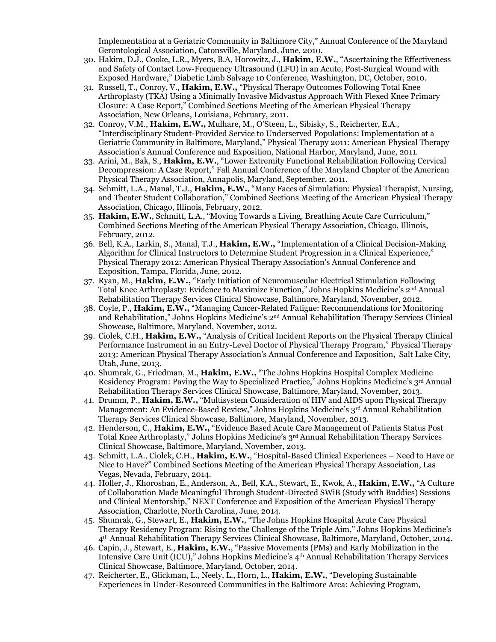Implementation at a Geriatric Community in Baltimore City," Annual Conference of the Maryland Gerontological Association, Catonsville, Maryland, June, 2010.

- 30. Hakim, D.J., Cooke, L.R., Myers, B.A, Horowitz, J., **Hakim, E.W.**, "Ascertaining the Effectiveness and Safety of Contact Low-Frequency Ultrasound (LFU) in an Acute, Post-Surgical Wound with Exposed Hardware," Diabetic Limb Salvage 10 Conference, Washington, DC, October, 2010.
- 31. Russell, T., Conroy, V., **Hakim, E.W.,** "Physical Therapy Outcomes Following Total Knee Arthroplasty (TKA) Using a Minimally Invasive Midvastus Approach With Flexed Knee Primary Closure: A Case Report," Combined Sections Meeting of the American Physical Therapy Association, New Orleans, Louisiana, February, 2011.
- 32. Conroy, V.M., **Hakim, E.W.,** Mulhare, M., O'Steen, L., Sibisky, S., Reicherter, E.A., "Interdisciplinary Student-Provided Service to Underserved Populations: Implementation at a Geriatric Community in Baltimore, Maryland," Physical Therapy 2011: American Physical Therapy Association's Annual Conference and Exposition, National Harbor, Maryland, June, 2011.
- 33. Arini, M., Bak, S., **Hakim, E.W.**, "Lower Extremity Functional Rehabilitation Following Cervical Decompression: A Case Report," Fall Annual Conference of the Maryland Chapter of the American Physical Therapy Association, Annapolis, Maryland, September, 2011.
- 34. Schmitt, L.A., Manal, T.J., **Hakim, E.W.**, "Many Faces of Simulation: Physical Therapist, Nursing, and Theater Student Collaboration," Combined Sections Meeting of the American Physical Therapy Association, Chicago, Illinois, February, 2012.
- 35. **Hakim, E.W.**, Schmitt, L.A., "Moving Towards a Living, Breathing Acute Care Curriculum," Combined Sections Meeting of the American Physical Therapy Association, Chicago, Illinois, February, 2012.
- 36. Bell, K.A., Larkin, S., Manal, T.J., **Hakim, E.W.,** "Implementation of a Clinical Decision-Making Algorithm for Clinical Instructors to Determine Student Progression in a Clinical Experience," Physical Therapy 2012: American Physical Therapy Association's Annual Conference and Exposition, Tampa, Florida, June, 2012.
- 37. Ryan, M., **Hakim, E.W.,** "Early Initiation of Neuromuscular Electrical Stimulation Following Total Knee Arthroplasty: Evidence to Maximize Function," Johns Hopkins Medicine's 2nd Annual Rehabilitation Therapy Services Clinical Showcase, Baltimore, Maryland, November, 2012.
- 38. Coyle, P., **Hakim, E.W.,** "Managing Cancer-Related Fatigue: Recommendations for Monitoring and Rehabilitation," Johns Hopkins Medicine's 2nd Annual Rehabilitation Therapy Services Clinical Showcase, Baltimore, Maryland, November, 2012.
- 39. Ciolek, C.H., **Hakim, E.W.,** "Analysis of Critical Incident Reports on the Physical Therapy Clinical Performance Instrument in an Entry-Level Doctor of Physical Therapy Program," Physical Therapy 2013: American Physical Therapy Association's Annual Conference and Exposition, Salt Lake City, Utah, June, 2013.
- 40. Shumrak, G., Friedman, M., **Hakim, E.W.,** "The Johns Hopkins Hospital Complex Medicine Residency Program: Paving the Way to Specialized Practice," Johns Hopkins Medicine's 3rd Annual Rehabilitation Therapy Services Clinical Showcase, Baltimore, Maryland, November, 2013.
- 41. Drumm, P., **Hakim, E.W.,** "Multisystem Consideration of HIV and AIDS upon Physical Therapy Management: An Evidence-Based Review," Johns Hopkins Medicine's 3rd Annual Rehabilitation Therapy Services Clinical Showcase, Baltimore, Maryland, November, 2013.
- 42. Henderson, C., **Hakim, E.W.,** "Evidence Based Acute Care Management of Patients Status Post Total Knee Arthroplasty," Johns Hopkins Medicine's 3rd Annual Rehabilitation Therapy Services Clinical Showcase, Baltimore, Maryland, November, 2013.
- 43. Schmitt, L.A., Ciolek, C.H., **Hakim, E.W.**, "Hospital-Based Clinical Experiences Need to Have or Nice to Have?" Combined Sections Meeting of the American Physical Therapy Association, Las Vegas, Nevada, February, 2014.
- 44. Holler, J., Khoroshan, E., Anderson, A., Bell, K.A., Stewart, E., Kwok, A., **Hakim, E.W.,** "A Culture of Collaboration Made Meaningful Through Student-Directed SWiB (Study with Buddies) Sessions and Clinical Mentorship," NEXT Conference and Exposition of the American Physical Therapy Association, Charlotte, North Carolina, June, 2014.
- 45. Shumrak, G., Stewart, E., **Hakim, E.W.**, "The Johns Hopkins Hospital Acute Care Physical Therapy Residency Program: Rising to the Challenge of the Triple Aim," Johns Hopkins Medicine's 4th Annual Rehabilitation Therapy Services Clinical Showcase, Baltimore, Maryland, October, 2014.
- 46. Capin, J., Stewart, E., **Hakim, E.W.**, "Passive Movements (PMs) and Early Mobilization in the Intensive Care Unit (ICU)," Johns Hopkins Medicine's 4th Annual Rehabilitation Therapy Services Clinical Showcase, Baltimore, Maryland, October, 2014.
- 47. Reicherter, E., Glickman, L., Neely, L., Horn, L., **Hakim, E.W.**, "Developing Sustainable Experiences in Under-Resourced Communities in the Baltimore Area: Achieving Program,